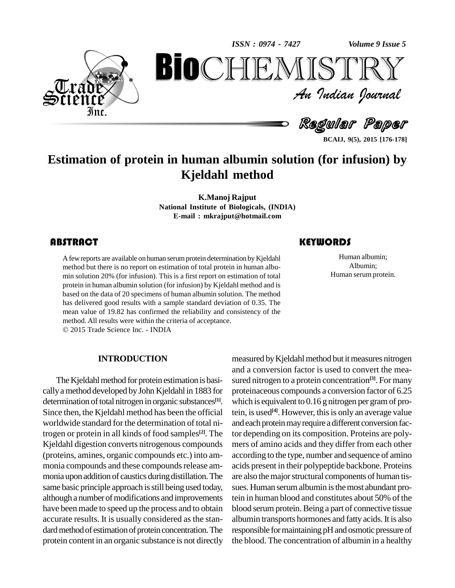*Volume 9 Issue 5*



An Indian Journal<br>Regular Paper *Volume 9 Issue 5*<br> $\begin{array}{c} \bigcirc \mathbb{T} \mathbb{R} \mathbb{Y} \ \mathcal{I} \end{array}$ **BioCHEMISTRY**<br>Au Indian Journal<br>Regular Paper<br>in in human albumin solution (for infusion) by<br>Kjeldahl method

**BCAIJ, 9(5), 2015 [176-178]**

# **Estimation of protein in human albumin solution (for infusion) by Kjeldahl method**

**K.Manoj Rajput National Institute of Biologicals, (INDIA) E-mail : [mkrajput@hotmail.com](mailto:mkrajput@hotmail.com)**

## **ABSTRACT**

A few reports are available<br>method but there is no rep<br>min solution 20% (for inf A few reports are available on human serum protein determination by Kjeldahl method but there is no report on estimation of total protein in human albu min solution 20% (for infusion). This is a first report on estimation of total protein in human albumin solution (for infusion) by Kjeldahl method and is based on the data of 20 specimens of human albumin solution. The method has delivered good results with a sample standard deviation of 0.35. The mean value of 19.82 has confirmed the reliability and consistency of the method. All results were within the criteria of acceptance.

2015 Trade Science Inc. - INDIA

### **INTRODUCTION**

The Kjeldahl method for protein estimation is basicallyamethod developed byJohn Kjeldahlin 1883 for determination of total nitrogen in organic substances $^{[1]}$ . Since then, the Kjeldahl method has been the official worldwide standard for the determination of total nitrogen or protein in all kinds of food samples **[2]**. The Kjeldahl digestion converts nitrogenous compounds (proteins, amines, organic compounds etc.) into am monia compounds and these compounds release ammonia upon addition of caustics during distillation. The same basic principle approach is still being used today, although a number of modifications and improvements have been made to speed up the process and to obtain accurate results. It is usually considered as the stan dard method of estimation of protein concentration. The protein content in an organic substance is not directly

### **KEYWORDS**

Human albumin;<br>
Albumin;<br>
Human serum protein. Human albumin; Albumin;

**[1]**. which isequivalent to 0.16 g nitrogen per gramof promeasured by Kjeldahl method but it measures nitrogen and a conversion factor is used to convert the mea sured nitrogen to a protein concentration **[3]**. For many proteinaceous compounds a conversion factor of 6.25 tein, is used<sup>[4]</sup>. However, this is only an average value and each protein may require a different conversion factor depending on its composition. Proteins are poly mers of amino acids and they differ from eachother according to the type, number and sequence of amino acids present in their polypeptide backbone. Proteins are also the major structural components of human tissues. Human serum albumin is the most abundant protein in human blood and constitutes about 50% of the blood serum protein. Being a part of connective tissue albumin transports hormones and fatty acids. It is also responsible for maintaining pH and osmotic pressure of the blood. The concentration of albumin in a healthy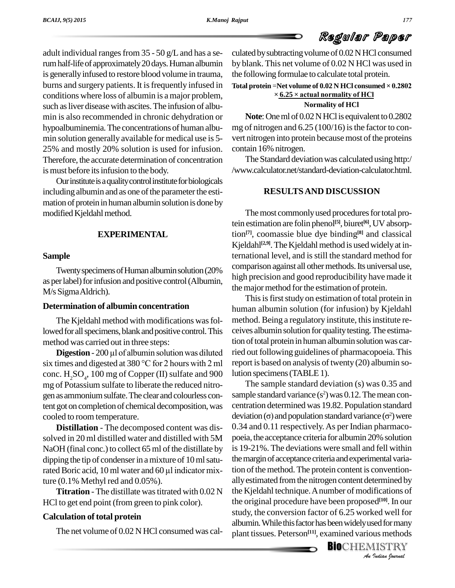Regular Paper culated by subtracting volume of  $0.02$  N HCl consumed by blank. This net volume of 0.02 N HCl was used in

# the following formulae to calculate total protein. **Total protein** <sup>=</sup>**Net volume of 0.02 <sup>N</sup> HCl consumed <sup>×</sup> 0.2802 <sup>×</sup>6.25** Youtual consumed between the volume of 0.02 N HCl consumed  $\times$ <br>**6.25**  $\times$  actual normality of HCl

#### **Normality of HCl**

**Note**: One ml of 0.02 NHCl is equivalent to 0.2802 mg of nitrogen and  $6.25 (100/16)$  is the factor to convert nitrogen into protein because most of the proteins contain 16% nitrogen.

The Standard deviation was calculated using http:/ /www.calculator.net/standard-deviation-calculator.html.

#### **RESULTSAND DISCUSSION**

The most commonly used procedures for total protein estimation are folin phenol **[5]**, biuret **[6]**,UV absorption **[7]**, coomassie blue dye binding **[8]** and classical Kjeldahl<sup>[2,9]</sup>. The Kjeldahl method is used widely at international level, and isstill the standard method for comparison against all other methods. Its universal use, high precision and good reproducibility have made it the major method for the estimation of protein.

This is first study on estimation of total protein in human albumin solution (for infusion) by Kjeldahl method. Being a regulatory institute, this institute receives albumin solution for quality testing. The estimation of total protein in human albumin solution was carried out following guidelines of pharmacopoeia. This report is based on analysis of twenty (20) albumin solution specimens (TABLE 1).

the Kjeldahl technique. A number of modifications of *Indian Journal* The sample standard deviation (s) was 0.35 and sample standard variance  $(s^2)$  was 0.12. The mean concentration determined was 19.82. Population standard sample standard variance ( $s^2$ ) was 0.12. The mean concentration determined was 19.82. Population standard deviation ( $\sigma$ ) and population standard variance ( $\sigma^2$ ) were 0.34 and 0.11 respectively.As per Indian pharmaco poeia, the acceptance criteria for albumin 20% solution is 19-21%. The deviations were small and fell within the margin of acceptance criteria and experimental variation of the method. The protein content is conventionallyestimated fromthe nitrogen content determined by the original procedure have been proposed **[10]**. In our study, the conversion factor of 6.25 worked well for albumin. While this factor has been widely used for many plant tissues. Peterson **[11]**, examined various methods

**BIO**CHEMISTRY<br>An Indian Journal

adult individual ranges from  $35 - 50$  g/L and has a serumhalf-lifeof approximately20days.Humanalbumin is generally infused to restore blood volume in trauma, burns and surgery patients. It is frequently infused in conditions where loss of albumin is a major problem, such as liver disease with ascites. The infusion of albumin is also recommended in chronic dehydration or hypoalbuminemia.The concentrations of human albu min solution generally available for medical use is 5- 25% and mostly 20% solution is used for infusion. Therefore, the accurate determination of concentration is must before its infusion to the body.

Our institute is a quality control institute for biologicals including albumin and as one of the parameter the estimation of protein in human albumin solution is done by modified Kjeldahl method.

#### **EXPERIMENTAL**

#### **Sample**

Twenty specimens of Human albumin solution (20%) as per label) for infusion and positive control (Albumin, M/s SigmaAldrich).

### **Determination of albumin concentration**

The Kjeldahl method with modifications was followed for all specimens, blank and positive control. This method was carried out in three steps:

**Digestion** - 200 µl of albumin solution was diluted six times and digested at <sup>380</sup> °C for <sup>2</sup> hours with <sup>2</sup> ml conc.  $H_2SO_4$ , 100 mg of Copper (II) sulfate and 900 lutions mg of Potassium sulfate to liberate the reduced nitro gen as ammonium sulfate. The clear and colourless content got on completion of chemical decomposition, was cooled to room temperature.

**Distillation** - The decomposed content was dis solved in 20 ml distilled water and distilled with 5M NaOH (final conc.) to collect 65 ml of the distillate by is 19-2<br>dipping the tip of condenser in a mixture of 10 ml satu-<br>rated Boric acid, 10 ml water and 60 µl indicator mix-<br>tion of dipping the tip of condenser in a mixture of 10 ml satuture (0.1% Methyl red and 0.05%).

**Titration** - The distillate was titrated with 0.02 N HCl to get end point (from green to pink color).

#### $Calculation of total protein$

The net volume of 0.02 N HCl consumed was cal-